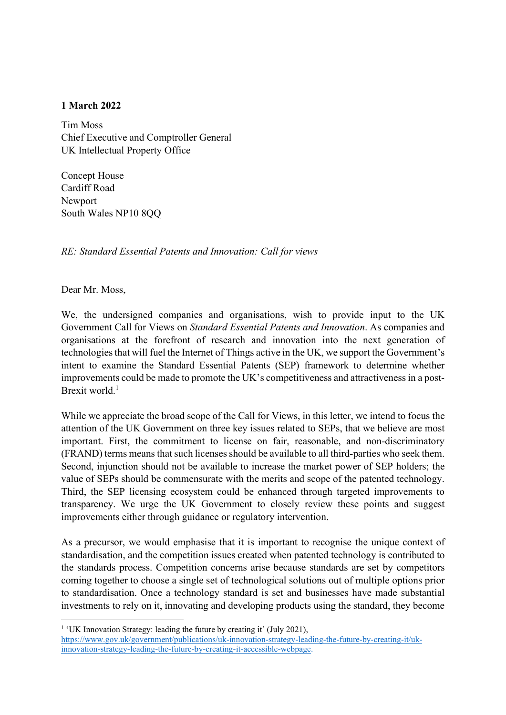## 1 March 2022

Tim Moss Chief Executive and Comptroller General UK Intellectual Property Office

Concept House Cardiff Road Newport South Wales NP10 8QQ

RE: Standard Essential Patents and Innovation: Call for views

Dear Mr. Moss,

We, the undersigned companies and organisations, wish to provide input to the UK Government Call for Views on Standard Essential Patents and Innovation. As companies and organisations at the forefront of research and innovation into the next generation of technologies that will fuel the Internet of Things active in the UK, we support the Government's intent to examine the Standard Essential Patents (SEP) framework to determine whether improvements could be made to promote the UK's competitiveness and attractiveness in a post-Brexit world. $<sup>1</sup>$ </sup>

While we appreciate the broad scope of the Call for Views, in this letter, we intend to focus the attention of the UK Government on three key issues related to SEPs, that we believe are most important. First, the commitment to license on fair, reasonable, and non-discriminatory (FRAND) terms means that such licenses should be available to all third-parties who seek them. Second, injunction should not be available to increase the market power of SEP holders; the value of SEPs should be commensurate with the merits and scope of the patented technology. Third, the SEP licensing ecosystem could be enhanced through targeted improvements to transparency. We urge the UK Government to closely review these points and suggest improvements either through guidance or regulatory intervention.

As a precursor, we would emphasise that it is important to recognise the unique context of standardisation, and the competition issues created when patented technology is contributed to the standards process. Competition concerns arise because standards are set by competitors coming together to choose a single set of technological solutions out of multiple options prior to standardisation. Once a technology standard is set and businesses have made substantial investments to rely on it, innovating and developing products using the standard, they become

<sup>&</sup>lt;sup>1</sup> 'UK Innovation Strategy: leading the future by creating it' (July 2021),

https://www.gov.uk/government/publications/uk-innovation-strategy-leading-the-future-by-creating-it/ukinnovation-strategy-leading-the-future-by-creating-it-accessible-webpage.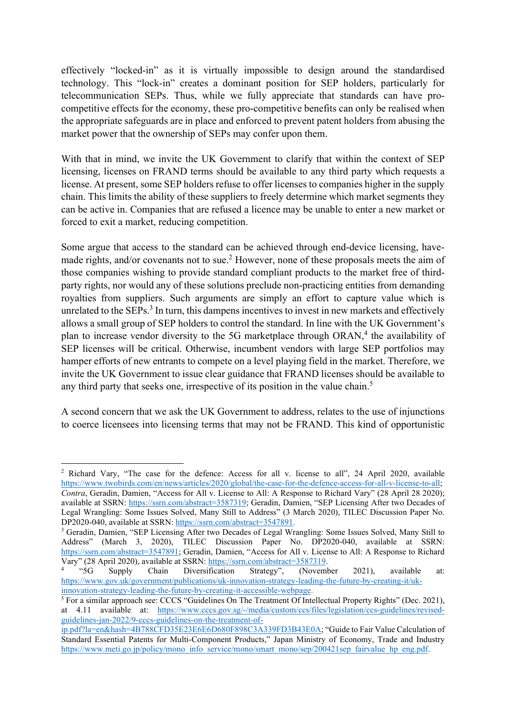effectively "locked-in" as it is virtually impossible to design around the standardised technology. This "lock-in" creates a dominant position for SEP holders, particularly for telecommunication SEPs. Thus, while we fully appreciate that standards can have procompetitive effects for the economy, these pro-competitive benefits can only be realised when the appropriate safeguards are in place and enforced to prevent patent holders from abusing the market power that the ownership of SEPs may confer upon them.

With that in mind, we invite the UK Government to clarify that within the context of SEP licensing, licenses on FRAND terms should be available to any third party which requests a license. At present, some SEP holders refuse to offer licenses to companies higher in the supply chain. This limits the ability of these suppliers to freely determine which market segments they can be active in. Companies that are refused a licence may be unable to enter a new market or forced to exit a market, reducing competition.

Some argue that access to the standard can be achieved through end-device licensing, havemade rights, and/or covenants not to sue.<sup>2</sup> However, none of these proposals meets the aim of those companies wishing to provide standard compliant products to the market free of thirdparty rights, nor would any of these solutions preclude non-practicing entities from demanding royalties from suppliers. Such arguments are simply an effort to capture value which is unrelated to the  $SEPs$ <sup>3</sup>. In turn, this dampens incentives to invest in new markets and effectively allows a small group of SEP holders to control the standard. In line with the UK Government's plan to increase vendor diversity to the 5G marketplace through ORAN,<sup>4</sup> the availability of SEP licenses will be critical. Otherwise, incumbent vendors with large SEP portfolios may hamper efforts of new entrants to compete on a level playing field in the market. Therefore, we invite the UK Government to issue clear guidance that FRAND licenses should be available to any third party that seeks one, irrespective of its position in the value chain.<sup>5</sup>

A second concern that we ask the UK Government to address, relates to the use of injunctions to coerce licensees into licensing terms that may not be FRAND. This kind of opportunistic

<sup>&</sup>lt;sup>2</sup> Richard Vary, "The case for the defence: Access for all v. license to all", 24 April 2020, available https://www.twobirds.com/en/news/articles/2020/global/the-case-for-the-defence-access-for-all-v-license-to-all; Contra, Geradin, Damien, "Access for All v. License to All: A Response to Richard Vary" (28 April 28 2020); available at SSRN: https://ssrn.com/abstract=3587319; Geradin, Damien, "SEP Licensing After two Decades of Legal Wrangling: Some Issues Solved, Many Still to Address" (3 March 2020), TILEC Discussion Paper No. DP2020-040, available at SSRN: https://ssrn.com/abstract=3547891.

<sup>&</sup>lt;sup>3</sup> Geradin, Damien, "SEP Licensing After two Decades of Legal Wrangling: Some Issues Solved, Many Still to Address" (March 3, 2020), TILEC Discussion Paper No. DP2020-040, available at SSRN: https://ssrn.com/abstract=3547891; Geradin, Damien, "Access for All v. License to All: A Response to Richard Vary" (28 April 2020), available at SSRN: https://ssrn.com/abstract=3587319.<br>
"SG Supply Chain Diversification Strategy", (November

<sup>4</sup> Supply Chain Diversification Strategy", (November 2021), available at: https://www.gov.uk/government/publications/uk-innovation-strategy-leading-the-future-by-creating-it/ukinnovation-strategy-leading-the-future-by-creating-it-accessible-webpage.

<sup>&</sup>lt;sup>5</sup> For a similar approach see: CCCS "Guidelines On The Treatment Of Intellectual Property Rights" (Dec. 2021), at 4.11 available at: https://www.cccs.gov.sg/-/media/custom/ccs/files/legislation/ccs-guidelines/revisedguidelines-jan-2022/9-cccs-guidelines-on-the-treatment-of-

ip.pdf?la=en&hash=4B788CFD35E23E6E6D680F898C3A339FD3B43E0A; "Guide to Fair Value Calculation of Standard Essential Patents for Multi-Component Products," Japan Ministry of Economy, Trade and Industry https://www.meti.go.jp/policy/mono\_info\_service/mono/smart\_mono/sep/200421sep\_fairvalue\_hp\_eng.pdf.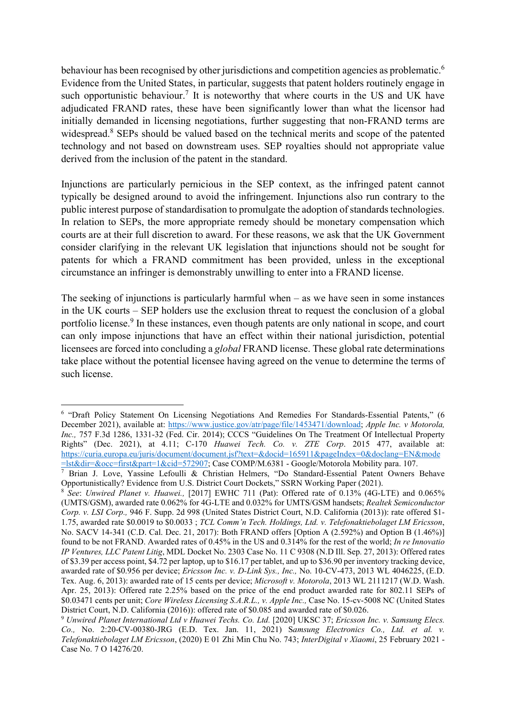behaviour has been recognised by other jurisdictions and competition agencies as problematic.<sup>6</sup> Evidence from the United States, in particular, suggests that patent holders routinely engage in such opportunistic behaviour.<sup>7</sup> It is noteworthy that where courts in the US and UK have adjudicated FRAND rates, these have been significantly lower than what the licensor had initially demanded in licensing negotiations, further suggesting that non-FRAND terms are widespread.<sup>8</sup> SEPs should be valued based on the technical merits and scope of the patented technology and not based on downstream uses. SEP royalties should not appropriate value derived from the inclusion of the patent in the standard.

Injunctions are particularly pernicious in the SEP context, as the infringed patent cannot typically be designed around to avoid the infringement. Injunctions also run contrary to the public interest purpose of standardisation to promulgate the adoption of standards technologies. In relation to SEPs, the more appropriate remedy should be monetary compensation which courts are at their full discretion to award. For these reasons, we ask that the UK Government consider clarifying in the relevant UK legislation that injunctions should not be sought for patents for which a FRAND commitment has been provided, unless in the exceptional circumstance an infringer is demonstrably unwilling to enter into a FRAND license.

The seeking of injunctions is particularly harmful when – as we have seen in some instances in the UK courts – SEP holders use the exclusion threat to request the conclusion of a global portfolio license.<sup>9</sup> In these instances, even though patents are only national in scope, and court can only impose injunctions that have an effect within their national jurisdiction, potential licensees are forced into concluding a global FRAND license. These global rate determinations take place without the potential licensee having agreed on the venue to determine the terms of such license.

<sup>&</sup>lt;sup>6</sup> "Draft Policy Statement On Licensing Negotiations And Remedies For Standards-Essential Patents," (6 December 2021), available at: https://www.justice.gov/atr/page/file/1453471/download; Apple Inc. v Motorola, Inc., 757 F.3d 1286, 1331-32 (Fed. Cir. 2014); CCCS "Guidelines On The Treatment Of Intellectual Property Rights" (Dec. 2021), at 4.11; C-170 Huawei Tech. Co. v. ZTE Corp. 2015 477, available at: https://curia.europa.eu/juris/document/document.jsf?text=&docid=165911&pageIndex=0&doclang=EN&mode

<sup>=</sup>lst&dir=&occ=first&part=1&cid=572907; Case COMP/M.6381 - Google/Motorola Mobility para. 107. 7 Brian J. Love, Yassine Lefoulli & Christian Helmers, "Do Standard-Essential Patent Owners Behave Opportunistically? Evidence from U.S. District Court Dockets," SSRN Working Paper (2021).

<sup>&</sup>lt;sup>8</sup> See: Unwired Planet v. Huawei., [2017] EWHC 711 (Pat): Offered rate of 0.13% (4G-LTE) and 0.065% (UMTS/GSM), awarded rate 0.062% for 4G-LTE and 0.032% for UMTS/GSM handsets; Realtek Semiconductor Corp. v. LSI Corp., 946 F. Supp. 2d 998 (United States District Court, N.D. California (2013)): rate offered \$1- 1.75, awarded rate \$0.0019 to \$0.0033 ; TCL Comm'n Tech. Holdings, Ltd. v. Telefonaktiebolaget LM Ericsson, No. SACV 14-341 (C.D. Cal. Dec. 21, 2017): Both FRAND offers [Option A (2.592%) and Option B (1.46%)] found to be not FRAND. Awarded rates of 0.45% in the US and 0.314% for the rest of the world; In re Innovatio IP Ventures, LLC Patent Litig, MDL Docket No. 2303 Case No. 11 C 9308 (N.D Ill. Sep. 27, 2013): Offered rates of \$3.39 per access point, \$4.72 per laptop, up to \$16.17 per tablet, and up to \$36.90 per inventory tracking device, awarded rate of \$0.956 per device; Ericsson Inc. v. D-Link Sys., Inc., No. 10-CV-473, 2013 WL 4046225, (E.D. Tex. Aug. 6, 2013): awarded rate of 15 cents per device; Microsoft v. Motorola, 2013 WL 2111217 (W.D. Wash. Apr. 25, 2013): Offered rate 2.25% based on the price of the end product awarded rate for 802.11 SEPs of \$0.03471 cents per unit; Core Wireless Licensing S.A.R.L., v. Apple Inc., Case No. 15-cv-5008 NC (United States District Court, N.D. California (2016)): offered rate of \$0.085 and awarded rate of \$0.026.

<sup>9</sup> Unwired Planet International Ltd v Huawei Techs. Co. Ltd. [2020] UKSC 37; Ericsson Inc. v. Samsung Elecs. Co., No. 2:20-CV-00380-JRG (E.D. Tex. Jan. 11, 2021) Samsung Electronics Co., Ltd. et al. v. Telefonaktiebolaget LM Ericsson, (2020) E 01 Zhi Min Chu No. 743; InterDigital v Xiaomi, 25 February 2021 - Case No. 7 O 14276/20.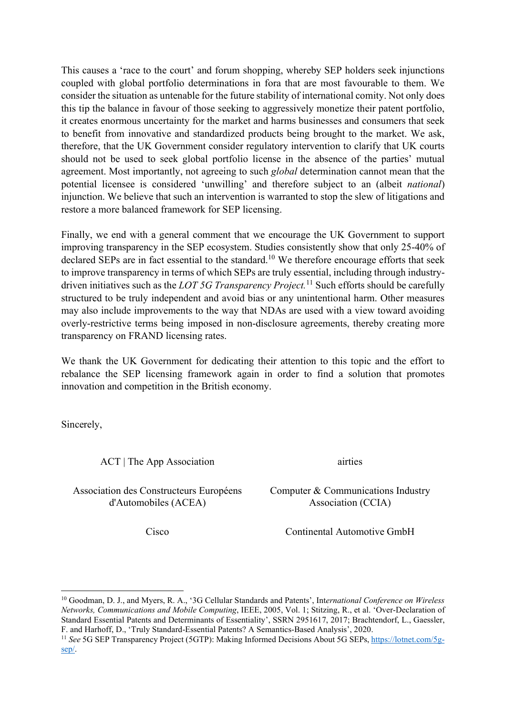This causes a 'race to the court' and forum shopping, whereby SEP holders seek injunctions coupled with global portfolio determinations in fora that are most favourable to them. We consider the situation as untenable for the future stability of international comity. Not only does this tip the balance in favour of those seeking to aggressively monetize their patent portfolio, it creates enormous uncertainty for the market and harms businesses and consumers that seek to benefit from innovative and standardized products being brought to the market. We ask, therefore, that the UK Government consider regulatory intervention to clarify that UK courts should not be used to seek global portfolio license in the absence of the parties' mutual agreement. Most importantly, not agreeing to such global determination cannot mean that the potential licensee is considered 'unwilling' and therefore subject to an (albeit national) injunction. We believe that such an intervention is warranted to stop the slew of litigations and restore a more balanced framework for SEP licensing.

Finally, we end with a general comment that we encourage the UK Government to support improving transparency in the SEP ecosystem. Studies consistently show that only 25-40% of declared SEPs are in fact essential to the standard.<sup>10</sup> We therefore encourage efforts that seek to improve transparency in terms of which SEPs are truly essential, including through industrydriven initiatives such as the *LOT* 5G Transparency Project.<sup>11</sup> Such efforts should be carefully structured to be truly independent and avoid bias or any unintentional harm. Other measures may also include improvements to the way that NDAs are used with a view toward avoiding overly-restrictive terms being imposed in non-disclosure agreements, thereby creating more transparency on FRAND licensing rates.

We thank the UK Government for dedicating their attention to this topic and the effort to rebalance the SEP licensing framework again in order to find a solution that promotes innovation and competition in the British economy.

Sincerely,

ACT | The App Association airties

Association des Constructeurs Européens d'Automobiles (ACEA)

Computer & Communications Industry Association (CCIA)

Cisco Continental Automotive GmbH

<sup>&</sup>lt;sup>10</sup> Goodman, D. J., and Myers, R. A., '3G Cellular Standards and Patents', International Conference on Wireless Networks, Communications and Mobile Computing, IEEE, 2005, Vol. 1; Stitzing, R., et al. 'Over-Declaration of Standard Essential Patents and Determinants of Essentiality', SSRN 2951617, 2017; Brachtendorf, L., Gaessler, F. and Harhoff, D., 'Truly Standard-Essential Patents? A Semantics-Based Analysis', 2020.

<sup>&</sup>lt;sup>11</sup> See 5G SEP Transparency Project (5GTP): Making Informed Decisions About 5G SEPs, https://lotnet.com/5gsep/.